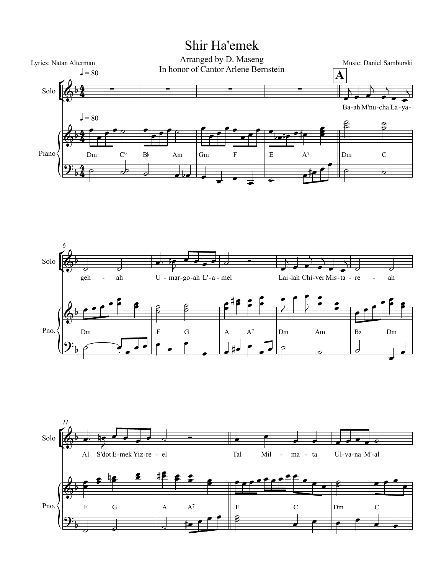## Shir Ha'emek





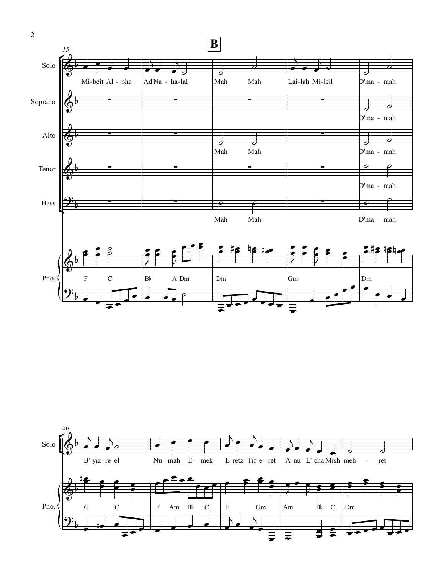



2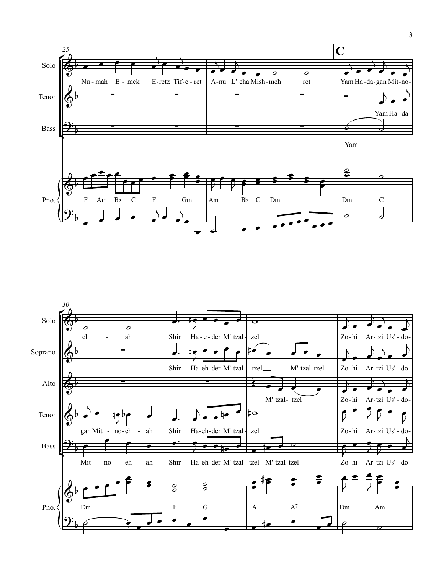

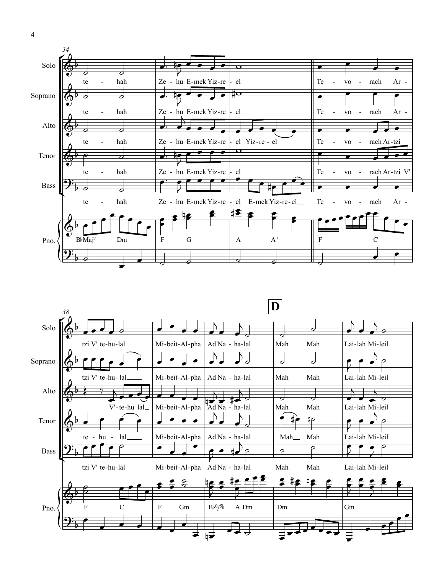



4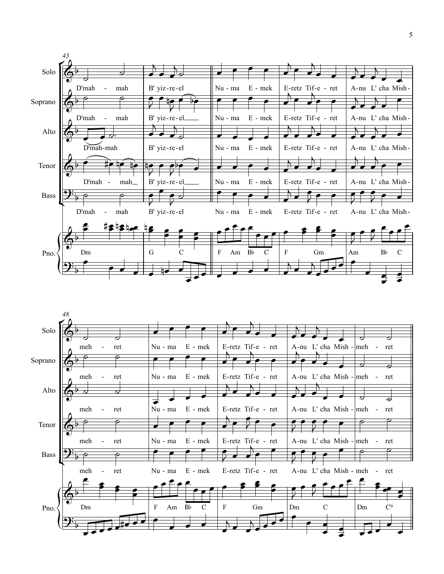

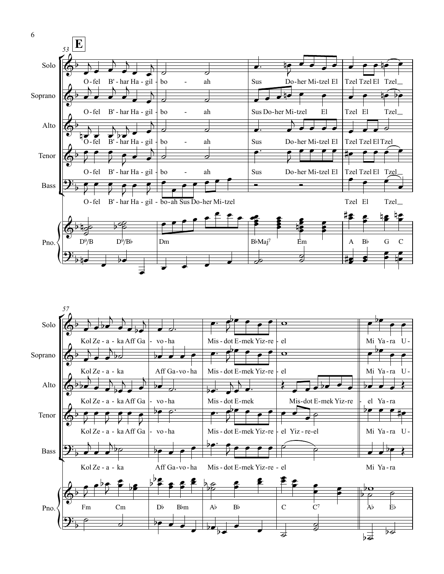

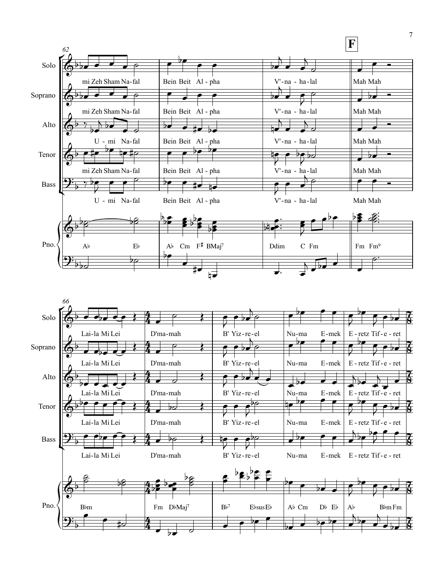